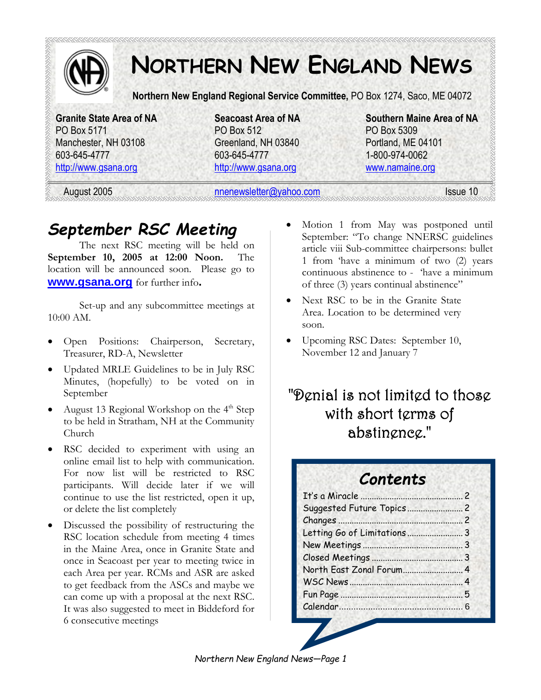

# **NORTHERN NEW ENGLAND NEWS**

**Northern New England Regional Service Committee,** PO Box 1274, Saco, ME 04072

PO Box 5171 PO Box 512 PO Box 5309 Manchester, NH 03108 Greenland, NH 03840 Portland, ME 04101 603-645-4777 603-645-4777 1-800-974-0062 http://www.gsana.org http://www.gsana.org www.namaine.org

**Granite State Area of NA Seacoast Area of NA Southern Maine Area of NA** 

August 2005 nnenewsletter@yahoo.com Issue 10

# *September RSC Meeting*

The next RSC meeting will be held on **September 10, 2005 at 12:00 Noon.** The location will be announced soon. Please go to **www.gsana.org** for further info**.**

Set-up and any subcommittee meetings at 10:00 AM.

- Open Positions: Chairperson, Secretary, Treasurer, RD-A, Newsletter
- Updated MRLE Guidelines to be in July RSC Minutes, (hopefully) to be voted on in September
- August 13 Regional Workshop on the 4<sup>th</sup> Step to be held in Stratham, NH at the Community Church
- RSC decided to experiment with using an online email list to help with communication. For now list will be restricted to RSC participants. Will decide later if we will continue to use the list restricted, open it up, or delete the list completely
- Discussed the possibility of restructuring the RSC location schedule from meeting 4 times in the Maine Area, once in Granite State and once in Seacoast per year to meeting twice in each Area per year. RCMs and ASR are asked to get feedback from the ASCs and maybe we can come up with a proposal at the next RSC. It was also suggested to meet in Biddeford for 6 consecutive meetings
- Motion 1 from May was postponed until September: "To change NNERSC guidelines article viii Sub-committee chairpersons: bullet 1 from 'have a minimum of two (2) years continuous abstinence to - 'have a minimum of three (3) years continual abstinence"
- Next RSC to be in the Granite State Area. Location to be determined very soon.
- Upcoming RSC Dates: September 10, November 12 and January 7

### "Denial is not limited to those with short terms of abstinence."

### *Contents*

| Letting Go of Limitations3 |  |
|----------------------------|--|
|                            |  |
|                            |  |
| North East Zonal Forum 4   |  |
|                            |  |
|                            |  |
| Calendar 6                 |  |
|                            |  |

*Northern New England News—Page 1*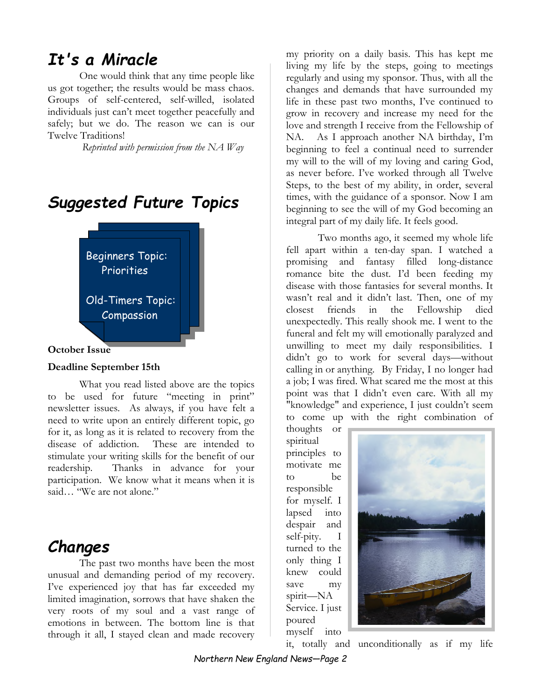### *It's a Miracle*

One would think that any time people like us got together; the results would be mass chaos. Groups of self-centered, self-willed, isolated individuals just can't meet together peacefully and safely; but we do. The reason we can is our Twelve Traditions!

 *Reprinted with permission from the NA Way* 





#### **Deadline September 15th**

What you read listed above are the topics to be used for future "meeting in print" newsletter issues. As always, if you have felt a need to write upon an entirely different topic, go for it, as long as it is related to recovery from the disease of addiction. These are intended to stimulate your writing skills for the benefit of our readership. Thanks in advance for your participation. We know what it means when it is said… "We are not alone."

### *Changes*

The past two months have been the most unusual and demanding period of my recovery. I've experienced joy that has far exceeded my limited imagination, sorrows that have shaken the very roots of my soul and a vast range of emotions in between. The bottom line is that through it all, I stayed clean and made recovery

my priority on a daily basis. This has kept me living my life by the steps, going to meetings regularly and using my sponsor. Thus, with all the changes and demands that have surrounded my life in these past two months, I've continued to grow in recovery and increase my need for the love and strength I receive from the Fellowship of NA. As I approach another NA birthday, I'm beginning to feel a continual need to surrender my will to the will of my loving and caring God, as never before. I've worked through all Twelve Steps, to the best of my ability, in order, several times, with the guidance of a sponsor. Now I am beginning to see the will of my God becoming an integral part of my daily life. It feels good.

Two months ago, it seemed my whole life fell apart within a ten-day span. I watched a promising and fantasy filled long-distance romance bite the dust. I'd been feeding my disease with those fantasies for several months. It wasn't real and it didn't last. Then, one of my closest friends in the Fellowship died unexpectedly. This really shook me. I went to the funeral and felt my will emotionally paralyzed and unwilling to meet my daily responsibilities. I didn't go to work for several days—without calling in or anything. By Friday, I no longer had a job; I was fired. What scared me the most at this point was that I didn't even care. With all my "knowledge" and experience, I just couldn't seem to come up with the right combination of

thoughts or spiritual principles to motivate me to be responsible for myself. I lapsed into despair and self-pity. I turned to the only thing I knew could save my spirit—NA Service. I just poured myself into



it, totally and unconditionally as if my life

*Northern New England News—Page 2*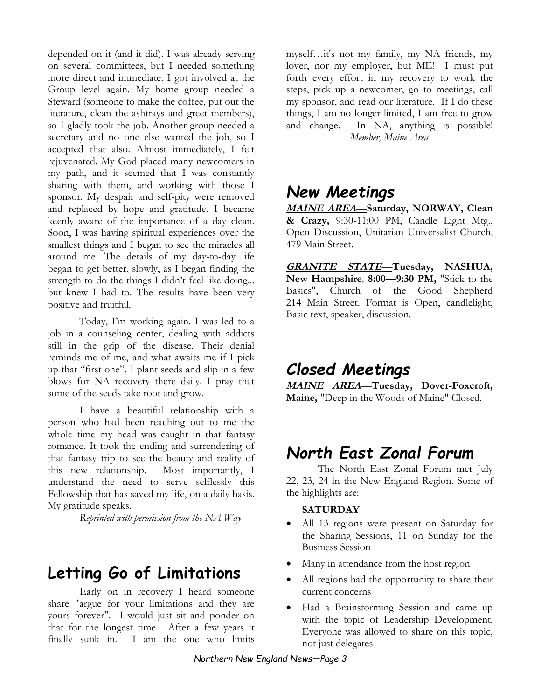depended on it (and it did). I was already serving on several committees, but I needed something more direct and immediate. I got involved at the Group level again. My home group needed a Steward (someone to make the coffee, put out the literature, clean the ashtrays and greet members), so I gladly took the job. Another group needed a secretary and no one else wanted the job, so I accepted that also. Almost immediately, I felt rejuvenated. My God placed many newcomers in my path, and it seemed that I was constantly sharing with them, and working with those I sponsor. My despair and self-pity were removed and replaced by hope and gratitude. I became keenly aware of the importance of a day clean. Soon, I was having spiritual experiences over the smallest things and I began to see the miracles all around me. The details of my day-to-day life began to get better, slowly, as I began finding the strength to do the things I didn't feel like doing... but knew I had to. The results have been very positive and fruitful.

Today, I'm working again. I was led to a job in a counseling center, dealing with addicts still in the grip of the disease. Their denial reminds me of me, and what awaits me if I pick up that "first one". I plant seeds and slip in a few blows for NA recovery there daily. I pray that some of the seeds take root and grow.

I have a beautiful relationship with a person who had been reaching out to me the whole time my head was caught in that fantasy romance. It took the ending and surrendering of that fantasy trip to see the beauty and reality of this new relationship. Most importantly, I understand the need to serve selflessly this Fellowship that has saved my life, on a daily basis. My gratitude speaks.

*Reprinted with permission from the NA Way* 

### **Letting Go of Limitations**

Early on in recovery I heard someone share "argue for your limitations and they are yours forever". I would just sit and ponder on that for the longest time. After a few years it finally sunk in. I am the one who limits

myself…it's not my family, my NA friends, my lover, nor my employer, but ME! I must put forth every effort in my recovery to work the steps, pick up a newcomer, go to meetings, call my sponsor, and read our literature. If I do these things, I am no longer limited, I am free to grow and change. In NA, anything is possible! *Member, Maine Area* 

### *New Meetings*

**MAINE AREA***—***Saturday, NORWAY, Clean & Crazy,** 9:30-11:00 PM, Candle Light Mtg., Open Discussion, Unitarian Universalist Church, 479 Main Street.

**GRANITE STATE***—***Tuesday, NASHUA, New Hampshire***,* **8:00—9:30 PM,** "Stick to the Basics", Church of the Good Shepherd 214 Main Street. Format is Open, candlelight, Basic text, speaker, discussion.

### *Closed Meetings*

**MAINE AREA***—***Tuesday, Dover-Foxcroft, Maine,** "Deep in the Woods of Maine" Closed.

### *North East Zonal Forum*

The North East Zonal Forum met July 22, 23, 24 in the New England Region. Some of the highlights are:

#### **SATURDAY**

- All 13 regions were present on Saturday for the Sharing Sessions, 11 on Sunday for the Business Session
- Many in attendance from the host region
- All regions had the opportunity to share their current concerns
- Had a Brainstorming Session and came up with the topic of Leadership Development. Everyone was allowed to share on this topic, not just delegates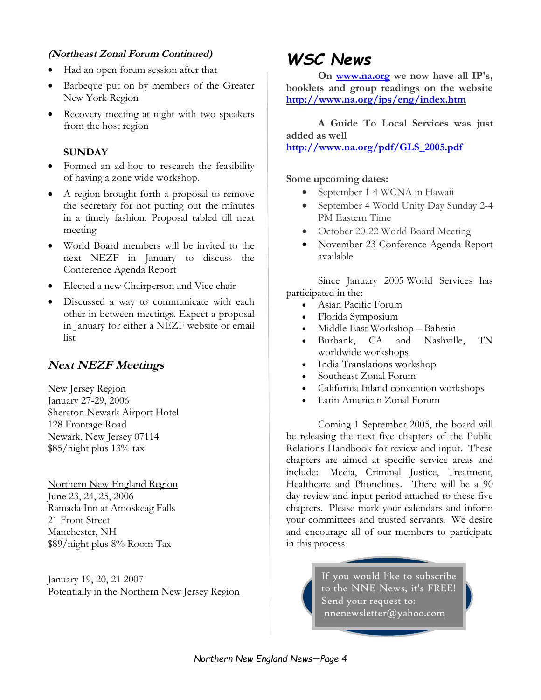#### **(Northeast Zonal Forum Continued)**

- Had an open forum session after that
- Barbeque put on by members of the Greater New York Region
- Recovery meeting at night with two speakers from the host region

#### **SUNDAY**

- Formed an ad-hoc to research the feasibility of having a zone wide workshop.
- A region brought forth a proposal to remove the secretary for not putting out the minutes in a timely fashion. Proposal tabled till next meeting
- World Board members will be invited to the next NEZF in January to discuss the Conference Agenda Report
- Elected a new Chairperson and Vice chair
- Discussed a way to communicate with each other in between meetings. Expect a proposal in January for either a NEZF website or email list

#### **Next NEZF Meetings**

New Jersey Region January 27-29, 2006 Sheraton Newark Airport Hotel 128 Frontage Road Newark, New Jersey 07114 \$85/night plus 13% tax

Northern New England Region June 23, 24, 25, 2006 Ramada Inn at Amoskeag Falls 21 Front Street Manchester, NH \$89/night plus 8% Room Tax

January 19, 20, 21 2007 Potentially in the Northern New Jersey Region

## *WSC News*

**On www.na.org we now have all IP's, booklets and group readings on the website http://www.na.org/ips/eng/index.htm**

**A Guide To Local Services was just added as well http://www.na.org/pdf/GLS\_2005.pdf**

#### **Some upcoming dates:**

- September 1-4 WCNA in Hawaii
- September 4 World Unity Day Sunday 2-4 PM Eastern Time
- October 20-22 World Board Meeting
- November 23 Conference Agenda Report available

Since January 2005 World Services has participated in the:

- Asian Pacific Forum
- Florida Symposium
- Middle East Workshop Bahrain
- Burbank, CA and Nashville, TN worldwide workshops
- India Translations workshop
- Southeast Zonal Forum
- California Inland convention workshops
- Latin American Zonal Forum

Coming 1 September 2005, the board will be releasing the next five chapters of the Public Relations Handbook for review and input. These chapters are aimed at specific service areas and include: Media, Criminal Justice, Treatment, Healthcare and Phonelines. There will be a 90 day review and input period attached to these five chapters. Please mark your calendars and inform your committees and trusted servants. We desire and encourage all of our members to participate in this process.

> If you would like to subscribe to the NNE News, it's FREE! Send your request to: nnenewsletter@yahoo.com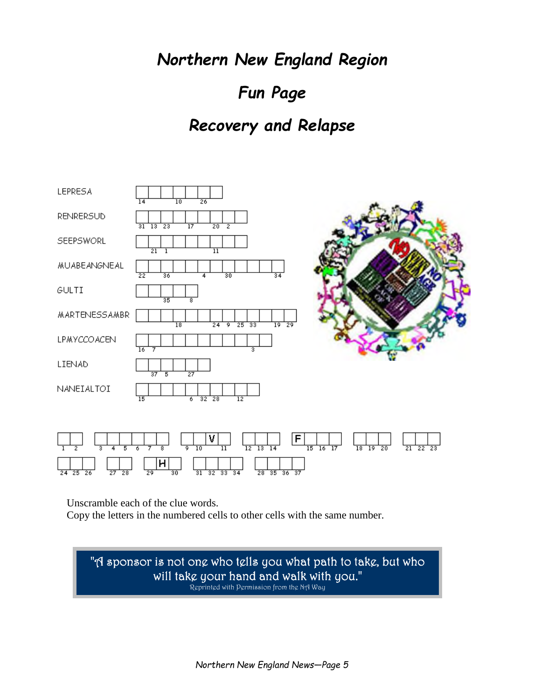*Northern New England Region* 

# *Fun Page*

### *Recovery and Relapse*



Unscramble each of the clue words.

Copy the letters in the numbered cells to other cells with the same number.

"A sponsor is not one who tells you what path to take, but who will take your hand and walk with you." Reprinted with Permission from the NA Way